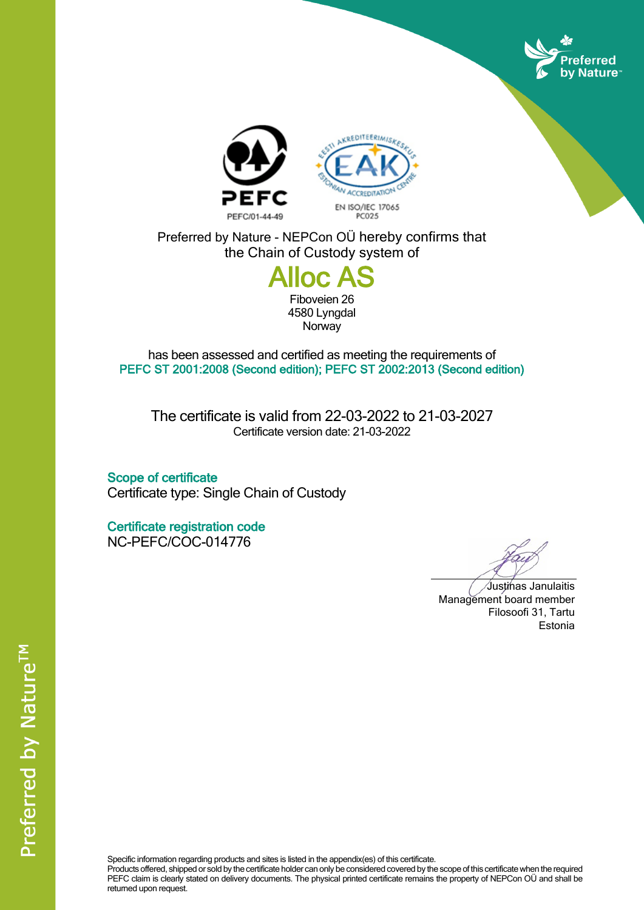



Preferred by Nature - NEPCon OÜ hereby confirms that the Chain of Custody system of

## **Alloc A**

Fiboveien 26 4580 Lyngdal **Norway** 

has been assessed and certified as meeting the requirements of **PEFC ST 2001:2008 (Second edition); PEFC ST 2002:2013 (Second edition)**

The certificate is valid from 22-03-2022 to 21-03-2027 Certificate version date: 21-03-2022

**Scope of certificate** Certificate type: Single Chain of Custody

**Certificate registration code** NC-PEFC/COC-014776

Justinas Janulaitis Management board member Filosoofi 31, Tartu Estonia

Specific information regarding products and sites is listed in the appendix(es) of this certificate.

Products offered, shipped or sold by the certificate holder can only be considered covered by the scope of this certificate when the required PEFC claim is clearly stated on delivery documents. The physical printed certificate remains the property of NEPCon OÜ and shall be returned upon request.